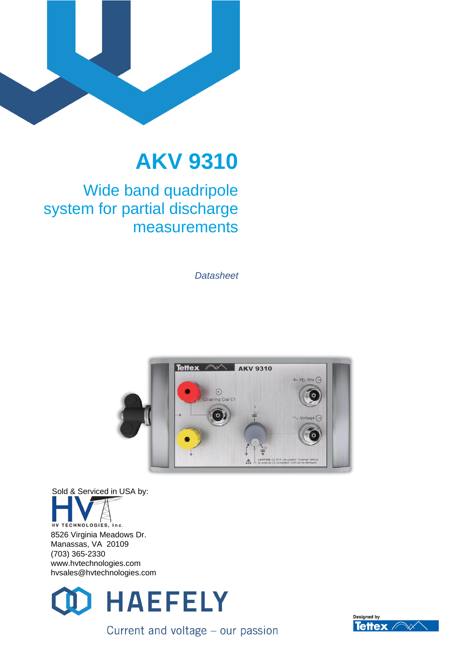

# **AKV 9310**

### Wide band quadripole system for partial discharge measurements

*Datasheet*



Sold & Serviced in USA by: HV TECHNOLOGIES, Inc. 8526 Virginia Meadows Dr. Manassas, VA 20109 (703) 365-2330 www.hvtechnologies.com hvsales@hvtechnologies.com



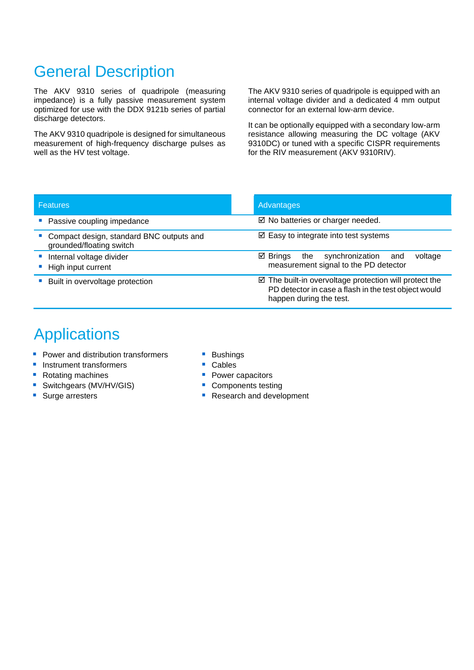## General Description

The AKV 9310 series of quadripole (measuring impedance) is a fully passive measurement system optimized for use with the DDX 9121b series of partial discharge detectors.

The AKV 9310 quadripole is designed for simultaneous measurement of high-frequency discharge pulses as well as the HV test voltage.

The AKV 9310 series of quadripole is equipped with an internal voltage divider and a dedicated 4 mm output connector for an external low-arm device.

It can be optionally equipped with a secondary low-arm resistance allowing measuring the DC voltage (AKV 9310DC) or tuned with a specific CISPR requirements for the RIV measurement (AKV 9310RIV).

| <b>Features</b>                                                      | Advantages                                                                                                                                          |
|----------------------------------------------------------------------|-----------------------------------------------------------------------------------------------------------------------------------------------------|
| Passive coupling impedance                                           | $\boxtimes$ No batteries or charger needed.                                                                                                         |
| Compact design, standard BNC outputs and<br>grounded/floating switch | $\boxtimes$ Easy to integrate into test systems                                                                                                     |
| Internal voltage divider<br>High input current                       | ⊠ Brings<br>synchronization<br>the<br>voltage<br>and<br>measurement signal to the PD detector                                                       |
| Built in overvoltage protection                                      | $\boxtimes$ The built-in overvoltage protection will protect the<br>PD detector in case a flash in the test object would<br>happen during the test. |

### **Applications**

- Power and distribution transformers
- **■** Instrument transformers
- Rotating machines
- Switchgears (MV/HV/GIS)
- Surge arresters
- Bushings
- Cables
- **Power capacitors**
- Components testing
- **Research and development**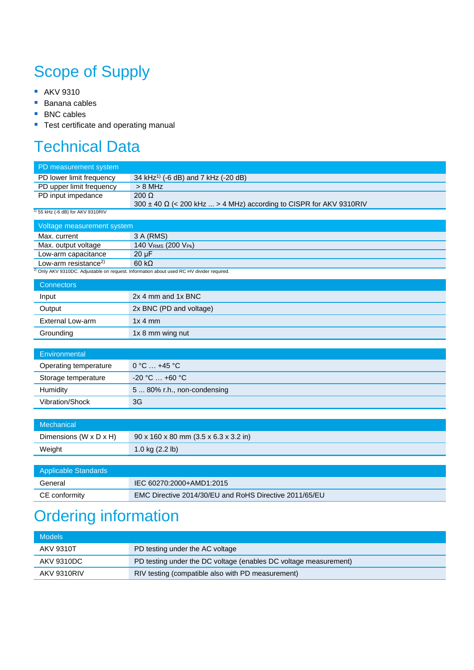# Scope of Supply

- **AKV 9310**
- Banana cables
- BNC cables
- Test certificate and operating manual

## Technical Data

| PD measurement system                  |                                                                                                      |
|----------------------------------------|------------------------------------------------------------------------------------------------------|
| PD lower limit frequency               | 34 kHz <sup>1)</sup> (-6 dB) and 7 kHz (-20 dB)                                                      |
| PD upper limit frequency               | $> 8$ MHz                                                                                            |
| PD input impedance                     | $200 \Omega$                                                                                         |
|                                        | 300 ± 40 Ω (< 200 kHz  > 4 MHz) according to CISPR for AKV 9310RIV                                   |
| $^{1)}$ 55 kHz (-6 dB) for AKV 9310RIV |                                                                                                      |
| Voltage measurement system             |                                                                                                      |
| Max. current                           | 3 A (RMS)                                                                                            |
| Max. output voltage                    | 140 VRMS (200 VPk)                                                                                   |
| Low-arm capacitance                    | $20 \mu F$                                                                                           |
| Low-arm resistance <sup>2)</sup>       | 60 k <sub>2</sub>                                                                                    |
|                                        | <sup>2)</sup> Only AKV 9310DC. Adjustable on request. Information about used RC HV divider required. |
| <b>Connectors</b>                      |                                                                                                      |
| Input                                  | 2x 4 mm and 1x BNC                                                                                   |
| Output                                 | 2x BNC (PD and voltage)                                                                              |
| <b>External Low-arm</b>                | 1x 4 mm                                                                                              |
| Grounding                              | 1x 8 mm wing nut                                                                                     |
|                                        |                                                                                                      |
| Environmental                          |                                                                                                      |
| Operating temperature                  | $0 °C  +45 °C$                                                                                       |
| Storage temperature                    | $-20 °C  +60 °C$                                                                                     |
| Humidity                               | 5  80% r.h., non-condensing                                                                          |
| Vibration/Shock                        | 3G                                                                                                   |
|                                        |                                                                                                      |
| Mechanical                             |                                                                                                      |
| Dimensions (W x D x H)                 | 90 x 160 x 80 mm (3.5 x 6.3 x 3.2 in)                                                                |
| Weight                                 | 1.0 kg (2.2 lb)                                                                                      |
|                                        |                                                                                                      |
| <b>Applicable Standards</b>            |                                                                                                      |
| General                                | IEC 60270:2000+AMD1:2015                                                                             |

## Ordering information

| <b>Models</b>      |                                                                  |
|--------------------|------------------------------------------------------------------|
| <b>AKV 9310T</b>   | PD testing under the AC voltage                                  |
| AKV 9310DC         | PD testing under the DC voltage (enables DC voltage measurement) |
| <b>AKV 9310RIV</b> | RIV testing (compatible also with PD measurement)                |

CE conformity EMC Directive 2014/30/EU and RoHS Directive 2011/65/EU